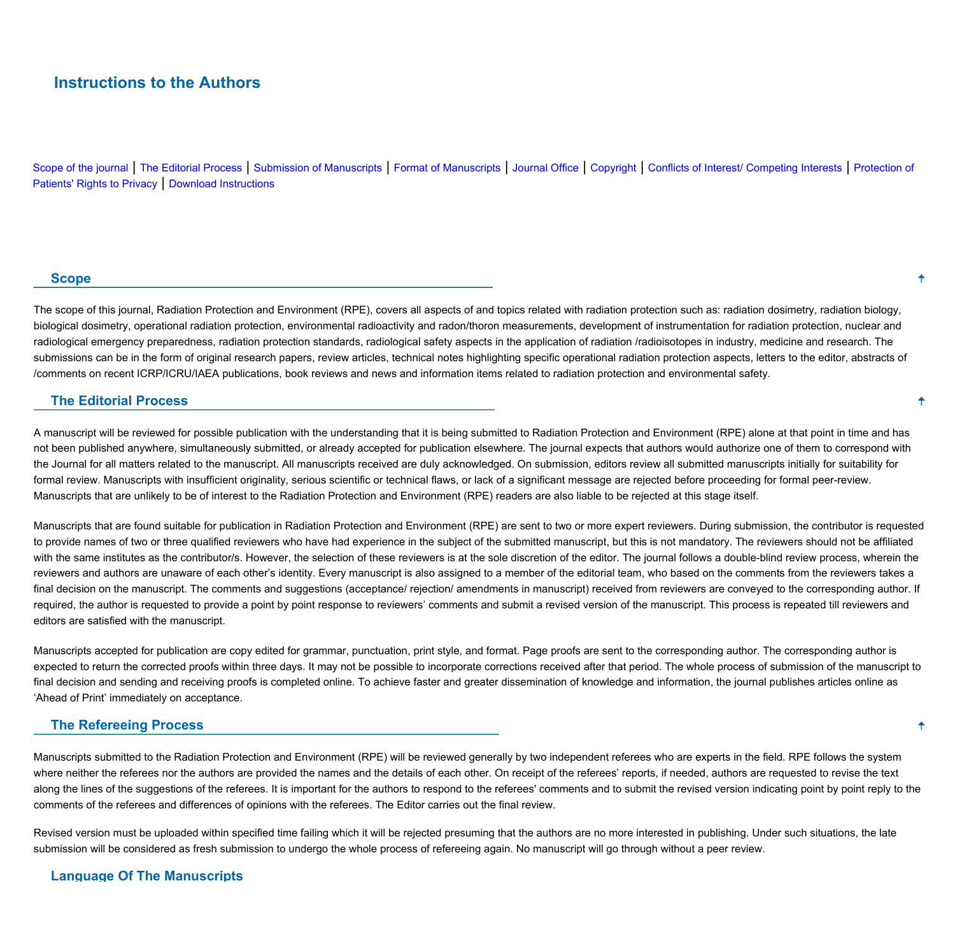# **Instructions to the Authors**

[Scope](#page-0-0) [of](#page-5-1) [the](#page-0-0) [journal](#page-0-0) | [The](#page-0-1) [Editorial](#page-0-1) [Process](#page-0-1) | [Submission](#page-1-0) of [Manuscripts](#page-0-2) | [Format](#page-0-2) of Manuscripts | [Journal](#page-5-0) [Office](#page-5-0) | [Copyright](#page-4-0) | [Conflicts](#page-4-1) of [Interest/](#page-4-1) [Competing](#page-4-1) [Interests](#page-4-1) | [Protection](#page-5-1) of **[Patients'](#page-5-1) [Rights](#page-5-1) [to](#page-5-1) [Privacy](#page-5-1) | [Download](#page-5-2) [Instructions](#page-5-2)**

### <span id="page-0-0"></span> **Scope**

The scope of this journal, Radiation Protection and Environment (RPE), covers all aspects of and topics related with radiation protection such as: radiation dosimetry, radiation biology, biological dosimetry, operational radiation protection, environmental radioactivity and radon/thoron measurements, development of instrumentation for radiation protection, nuclear and radiological emergency preparedness, radiation protection standards, radiological safety aspects in the application of radiation /radioisotopes in industry, medicine and research. The submissions can be in the form of original research papers, review articles, technical notes highlighting specific operational radiation protection aspects, letters to the editor, abstracts of /comments on recent ICRP/ICRU/IAEA publications, book reviews and news and information items related to radiation protection and environmental safety.

### <span id="page-0-1"></span> **The Editorial Process**

A manuscript will be reviewed for possible publication with the understanding that it is being submitted to Radiation Protection and Environment (RPE) alone at that point in time and has not been published anywhere, simultaneously submitted, or already accepted for publication elsewhere. The journal expects that authors would authorize one of them to correspond with the Journal for all matters related to the manuscript. All manuscripts received are duly acknowledged. On submission, editors review all submitted manuscripts initially for suitability for formal review. Manuscripts with insufficient originality, serious scientific or technical flaws, or lack of a significant message are rejected before proceeding for formal peer-review. Manuscripts that are unlikely to be of interest to the Radiation Protection and Environment (RPE) readers are also liable to be rejected at this stage itself.

Manuscripts that are found suitable for publication in Radiation Protection and Environment (RPE) are sent to two or more expert reviewers. During submission, the contributor is requested to provide names of two or three qualified reviewers who have had experience in the subject of the submitted manuscript, but this is not mandatory. The reviewers should not be affiliated with the same institutes as the contributor/s. However, the selection of these reviewers is at the sole discretion of the editor. The journal follows a double-blind review process, wherein the reviewers and authors are unaware of each other's identity. Every manuscript is also assigned to a member of the editorial team, who based on the comments from the reviewers takes a final decision on the manuscript. The comments and suggestions (acceptance/ rejection/ amendments in manuscript) received from reviewers are conveyed to the corresponding author. If required, the author is requested to provide a point by point response to reviewers' comments and submit a revised version of the manuscript. This process is repeated till reviewers and **editors are satisfied with the manuscript.**

Manuscripts accepted for publication are copy edited for grammar, punctuation, print style, and format. Page proofs are sent to the corresponding author. The corresponding author is expected to return the corrected proofs within three days. It may not be possible to incorporate corrections received after that period. The whole process of submission of the manuscript to final decision and sending and receiving proofs is completed online. To achieve faster and greater dissemination of knowledge and information, the journal publishes articles online as **'Ahead of Print' immediately on acceptance.**

### **The Refereeing Process**

Manuscripts submitted to the Radiation Protection and Environment (RPE) will be reviewed generally by two independent referees who are experts in the field. RPE follows the system where neither the referees nor the authors are provided the names and the details of each other. On receipt of the referees' reports, if needed, authors are requested to revise the text along the lines of the suggestions of the referees. It is important for the authors to respond to the referees' comments and to submit the revised version indicating point by point reply to the comments of the referees and differences of opinions with the referees. The Editor carries out the final review.

Revised version must be uploaded within specified time failing which it will be rejected presuming that the authors are no more interested in publishing. Under such situations, the late submission will be considered as fresh submission to undergo the whole process of refereeing again. No manuscript will go through without a peer review.

# <span id="page-0-2"></span>**Language Of The Manuscripts**

٠

 $\ddot{\phantom{1}}$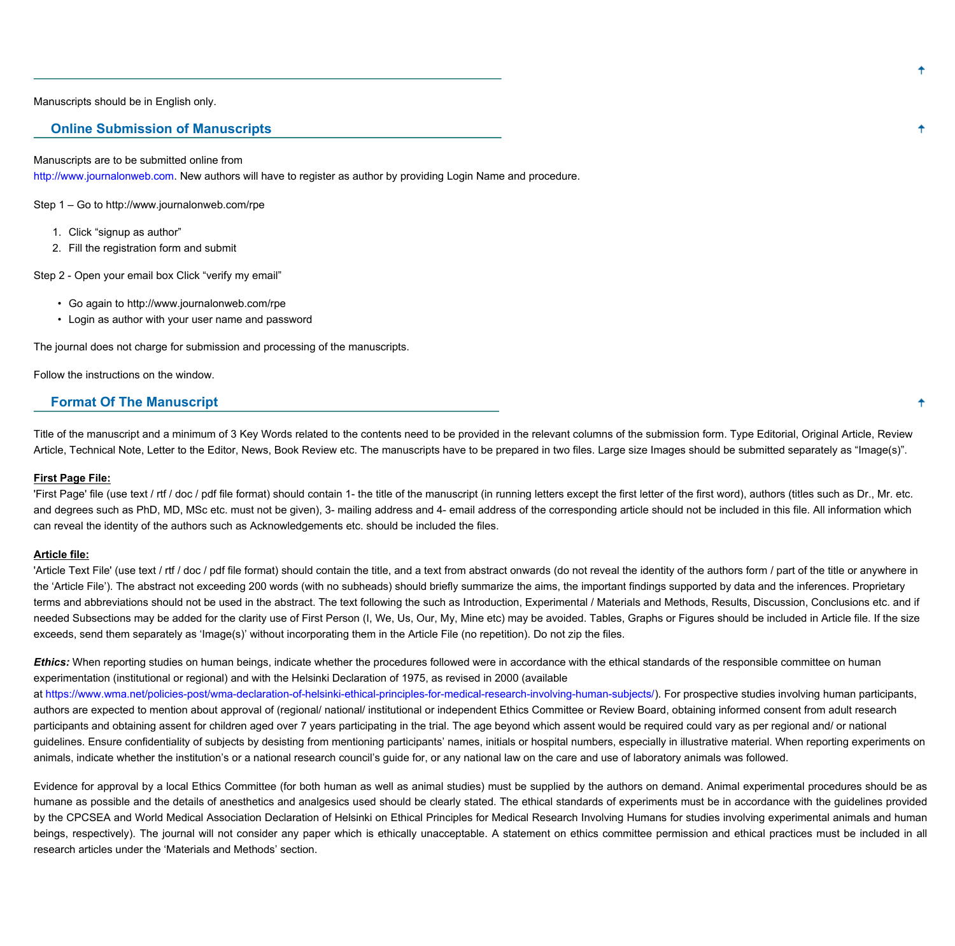**Manuscripts should be in English only.**

### <span id="page-1-0"></span>**Online Submission of Manuscripts**

#### **Manuscripts are to be submitted online from**

**[http://www.journalonweb.com.](http://www.journalonweb.com) New authors will have to register as author by providing Login Name and procedure.**

**Step 1 – Go to http://www.journalonweb.com/rpe**

- **1. Click "signup as author"**
- **2. Fill the registration form and submit**

**Step 2 - Open your email box Click "verify my email"**

- **• Go again to http://www.journalonweb.com/rpe**
- **• Login as author with your user name and password**

**The journal does not charge for submission and processing of the manuscripts.**

**Follow the instructions on the window.**

### **Format Of The Manuscript**

Title of the manuscript and a minimum of 3 Key Words related to the contents need to be provided in the relevant columns of the submission form. Type Editorial, Original Article, Review Article, Technical Note, Letter to the Editor, News, Book Review etc. The manuscripts have to be prepared in two files. Large size Images should be submitted separately as "Image(s)".

#### **First Page File:**

'First Page' file (use text / rtf / doc / pdf file format) should contain 1- the title of the manuscript (in running letters except the first letter of the first word), authors (titles such as Dr., Mr. etc. and degrees such as PhD, MD, MSc etc. must not be given), 3- mailing address and 4- email address of the corresponding article should not be included in this file. All information which **can reveal the identity of the authors such as Acknowledgements etc. should be included the files.**

#### **Article file:**

'Article Text File' (use text / rtf / doc / pdf file format) should contain the title, and a text from abstract onwards (do not reveal the identity of the authors form / part of the title or anywhere in the 'Article File'). The abstract not exceeding 200 words (with no subheads) should briefly summarize the aims, the important findings supported by data and the inferences. Proprietary terms and abbreviations should not be used in the abstract. The text following the such as Introduction, Experimental / Materials and Methods, Results, Discussion, Conclusions etc. and if needed Subsections may be added for the clarity use of First Person (I, We, Us, Our, My, Mine etc) may be avoided. Tables, Graphs or Figures should be included in Article file. If the size exceeds, send them separately as 'Image(s)' without incorporating them in the Article File (no repetition). Do not zip the files,

Ethics: When reporting studies on human beings, indicate whether the procedures followed were in accordance with the ethical standards of the responsible committee on human experimentation (institutional or regional) and with the Helsinki Declaration of 1975, as revised in 2000 (available

at<https://www.wma.net/policies-post/wma-declaration-of-helsinki-ethical-principles-for-medical-research-involving-human-subjects/>). For prospective studies involving human participants, authors are expected to mention about approval of (regional/ national/ institutional or independent Ethics Committee or Review Board, obtaining informed consent from adult research participants and obtaining assent for children aged over 7 years participating in the trial. The age beyond which assent would be required could vary as per regional and/ or national quidelines. Ensure confidentiality of subjects by desisting from mentioning participants' names, initials or hospital numbers, especially in illustrative material. When reporting experiments on animals, indicate whether the institution's or a national research council's guide for, or any national law on the care and use of laboratory animals was followed.

Evidence for approval by a local Ethics Committee (for both human as well as animal studies) must be supplied by the authors on demand. Animal experimental procedures should be as humane as possible and the details of anesthetics and analgesics used should be clearly stated. The ethical standards of experiments must be in accordance with the guidelines provided by the CPCSEA and World Medical Association Declaration of Helsinki on Ethical Principles for Medical Research Involving Humans for studies involving experimental animals and human beings, respectively). The journal will not consider any paper which is ethically unacceptable. A statement on ethics committee permission and ethical practices must be included in all **research articles under the 'Materials and Methods' section.**

٠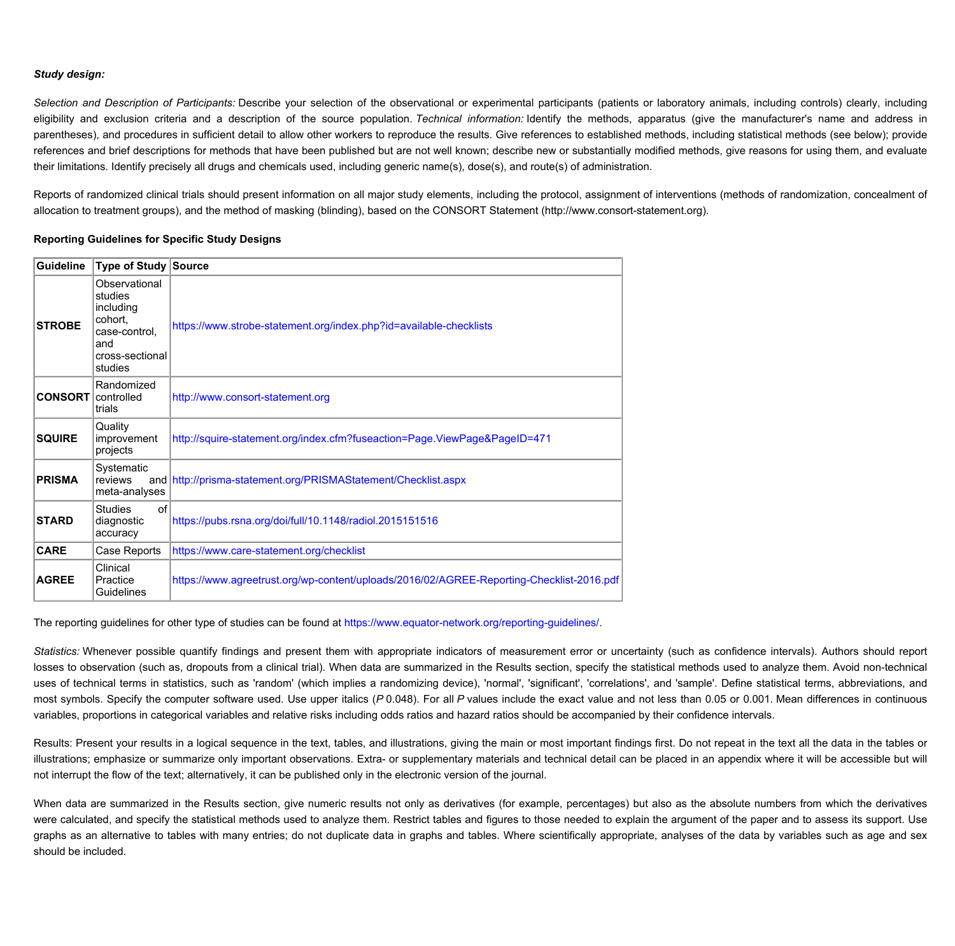#### *Study design:*

Selection and Description of Participants: Describe your selection of the observational or experimental participants (patients or laboratory animals, including controls) clearly, including eligibility and exclusion criteria and a description of the source population. Technical information: Identify the methods, apparatus (give the manufacturer's name and address in parentheses), and procedures in sufficient detail to allow other workers to reproduce the results. Give references to established methods, including statistical methods (see below); provide references and brief descriptions for methods that have been published but are not well known; describe new or substantially modified methods, give reasons for using them, and evaluate their limitations. Identify precisely all drugs and chemicals used, including generic name(s), dose(s), and route(s) of administration.

Reports of randomized clinical trials should present information on all major study elements, including the protocol, assignment of interventions (methods of randomization, concealment of allocation to treatment groups), and the method of masking (blinding), based on the CONSORT Statement (http://www.consort-statement.org).

#### **Reporting Guidelines for Specific Study Designs**

| <b>Guideline</b> | Type of Study Source                                                                                   |                                                                                          |
|------------------|--------------------------------------------------------------------------------------------------------|------------------------------------------------------------------------------------------|
| <b>STROBE</b>    | Observational<br>studies<br>including<br>cohort,<br>case-control.<br>and<br>cross-sectional<br>studies | https://www.strobe-statement.org/index.php?id=available-checklists                       |
| <b>CONSORT</b>   | Randomized<br>controlled<br>trials                                                                     | http://www.consort-statement.org                                                         |
| <b>SQUIRE</b>    | Quality<br>improvement<br>projects                                                                     | http://squire-statement.org/index.cfm?fuseaction=Page.ViewPage&PageID=471                |
| <b>PRISMA</b>    | Systematic<br>reviews<br>meta-analyses                                                                 | and http://prisma-statement.org/PRISMAStatement/Checklist.aspx                           |
| <b>STARD</b>     | of<br><b>Studies</b><br>diagnostic<br>accuracy                                                         | https://pubs.rsna.org/doi/full/10.1148/radiol.2015151516                                 |
| <b>CARE</b>      | Case Reports                                                                                           | https://www.care-statement.org/checklist                                                 |
| <b>AGREE</b>     | Clinical<br>Practice<br><b>Guidelines</b>                                                              | https://www.agreetrust.org/wp-content/uploads/2016/02/AGREE-Reporting-Checklist-2016.pdf |

**The reporting guidelines for other type of studies can be found at<https://www.equator-network.org/reporting-guidelines/>.** 

Statistics: Whenever possible quantify findings and present them with appropriate indicators of measurement error or uncertainty (such as confidence intervals). Authors should report losses to observation (such as, dropouts from a clinical trial). When data are summarized in the Results section, specify the statistical methods used to analyze them. Avoid non-technical uses of technical terms in statistics, such as 'random' (which implies a randomizing device), 'normal', 'significant', 'correlations', and 'sample'. Define statistical terms, abbreviations, and most symbols. Specify the computer software used. Use upper italics (P0.048). For all P values include the exact value and not less than 0.05 or 0.001. Mean differences in continuous variables, proportions in categorical variables and relative risks including odds ratios and hazard ratios should be accompanied by their confidence intervals.

Results: Present your results in a logical sequence in the text, tables, and illustrations, giving the main or most important findings first. Do not repeat in the text all the data in the tables or illustrations; emphasize or summarize only important observations. Extra- or supplementary materials and technical detail can be placed in an appendix where it will be accessible but will not interrupt the flow of the text; alternatively, it can be published only in the electronic version of the journal.

When data are summarized in the Results section, give numeric results not only as derivatives (for example, percentages) but also as the absolute numbers from which the derivatives were calculated, and specify the statistical methods used to analyze them. Restrict tables and figures to those needed to explain the argument of the paper and to assess its support. Use graphs as an alternative to tables with many entries; do not duplicate data in graphs and tables. Where scientifically appropriate, analyses of the data by variables such as age and sex **should be included.**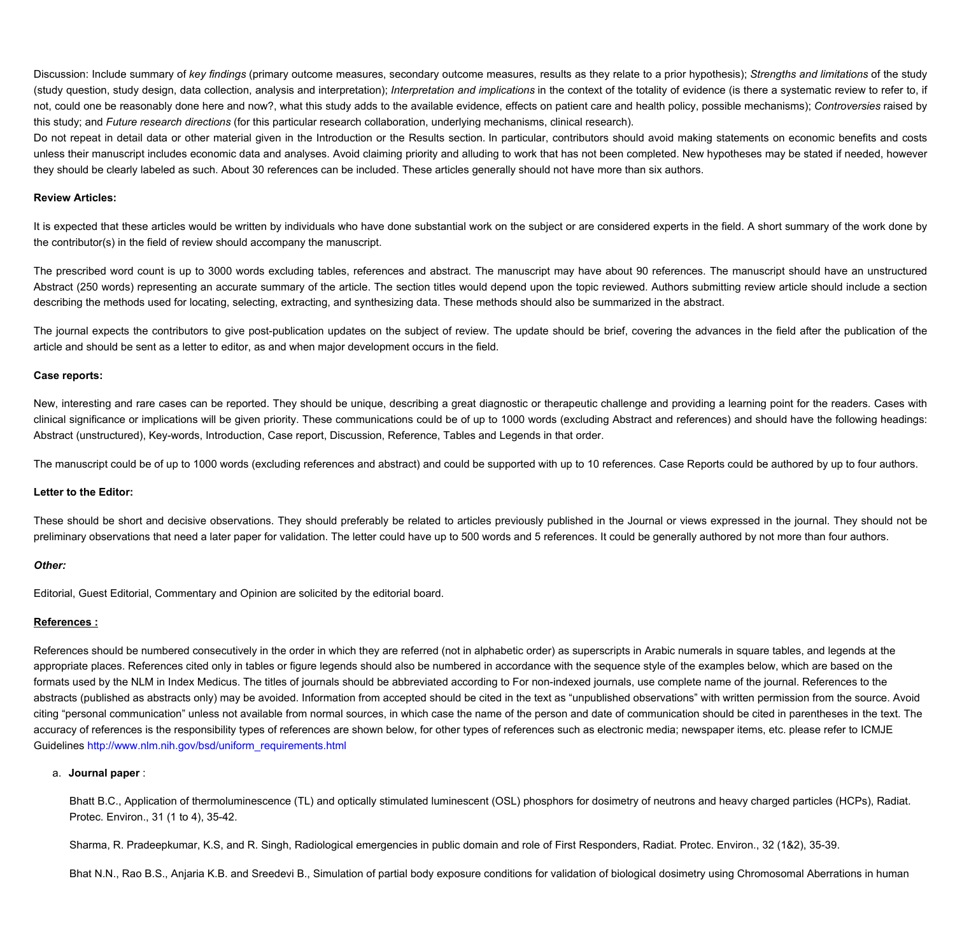Discussion: Include summary of key findings (primary outcome measures, secondary outcome measures, results as they relate to a prior hypothesis); Strengths and limitations of the study (study question, study design, data collection, analysis and interpretation); Interpretation and implications in the context of the totality of evidence (is there a systematic review to refer to, if not, could one be reasonably done here and now?, what this study adds to the available evidence, effects on patient care and health policy, possible mechanisms); Controversies raised by this study; and *Future research directions* (for this particular research collaboration, underlying mechanisms, clinical research).

Do not repeat in detail data or other material given in the Introduction or the Results section. In particular, contributors should avoid making statements on economic benefits and costs unless their manuscript includes economic data and analyses. Avoid claiming priority and alluding to work that has not been completed. New hypotheses may be stated if needed, however they should be clearly labeled as such. About 30 references can be included. These articles generally should not have more than six authors.

#### **Review Articles:**

It is expected that these articles would be written by individuals who have done substantial work on the subject or are considered experts in the field. A short summary of the work done by **the contributor(s) in the field of review should accompany the manuscript.**

The prescribed word count is up to 3000 words excluding tables, references and abstract. The manuscript may have about 90 references. The manuscript should have an unstructured Abstract (250 words) representing an accurate summary of the article. The section titles would depend upon the topic reviewed. Authors submitting review article should include a section describing the methods used for locating, selecting, extracting, and synthesizing data. These methods should also be summarized in the abstract.

The journal expects the contributors to give post-publication updates on the subject of review. The update should be brief, covering the advances in the field after the publication of the article and should be sent as a letter to editor, as and when major development occurs in the field.

#### **Case reports:**

New, interesting and rare cases can be reported. They should be unique, describing a great diagnostic or therapeutic challenge and providing a learning point for the readers. Cases with clinical significance or implications will be given priority. These communications could be of up to 1000 words (excluding Abstract and references) and should have the following headings: **Abstract (unstructured), Key-words, Introduction, Case report, Discussion, Reference, Tables and Legends in that order.**

The manuscript could be of up to 1000 words (excluding references and abstract) and could be supported with up to 10 references. Case Reports could be authored by up to four authors.

### **Letter to the Editor:**

These should be short and decisive observations. They should preferably be related to articles previously published in the Journal or views expressed in the journal. They should not be preliminary observations that need a later paper for validation. The letter could have up to 500 words and 5 references. It could be generally authored by not more than four authors.

### *Other:*

**Editorial, Guest Editorial, Commentary and Opinion are solicited by the editorial board.**

### **References :**

References should be numbered consecutively in the order in which they are referred (not in alphabetic order) as superscripts in Arabic numerals in square tables, and legends at the appropriate places. References cited only in tables or figure legends should also be numbered in accordance with the sequence style of the examples below, which are based on the formats used by the NLM in Index Medicus. The titles of journals should be abbreviated according to For non-indexed journals, use complete name of the journal. References to the abstracts (published as abstracts only) may be avoided. Information from accepted should be cited in the text as "unpublished observations" with written permission from the source. Avoid citing "personal communication" unless not available from normal sources, in which case the name of the person and date of communication should be cited in parentheses in the text. The accuracy of references is the responsibility types of references are shown below, for other types of references such as electronic media; newspaper items, etc. please refer to ICMJE **Guidelines [http://www.nlm.nih.gov/bsd/uniform\\_requirements.html](https://www.nlm.nih.gov/bsd/uniform_requirements.html)**

#### **a. Journal paper :**

Bhatt B.C., Application of thermoluminescence (TL) and optically stimulated luminescent (OSL) phosphors for dosimetry of neutrons and heavy charged particles (HCPs), Radiat. **Protec. Environ., 31 (1 to 4), 35-42.**

Sharma, R. Pradeepkumar, K.S, and R. Singh, Radiological emergencies in public domain and role of First Responders, Radiat. Protec. Environ., 32 (182), 35-39.

Bhat N.N., Rao B.S., Anjaria K.B. and Sreedevi B., Simulation of partial body exposure conditions for validation of biological dosimetry using Chromosomal Aberrations in human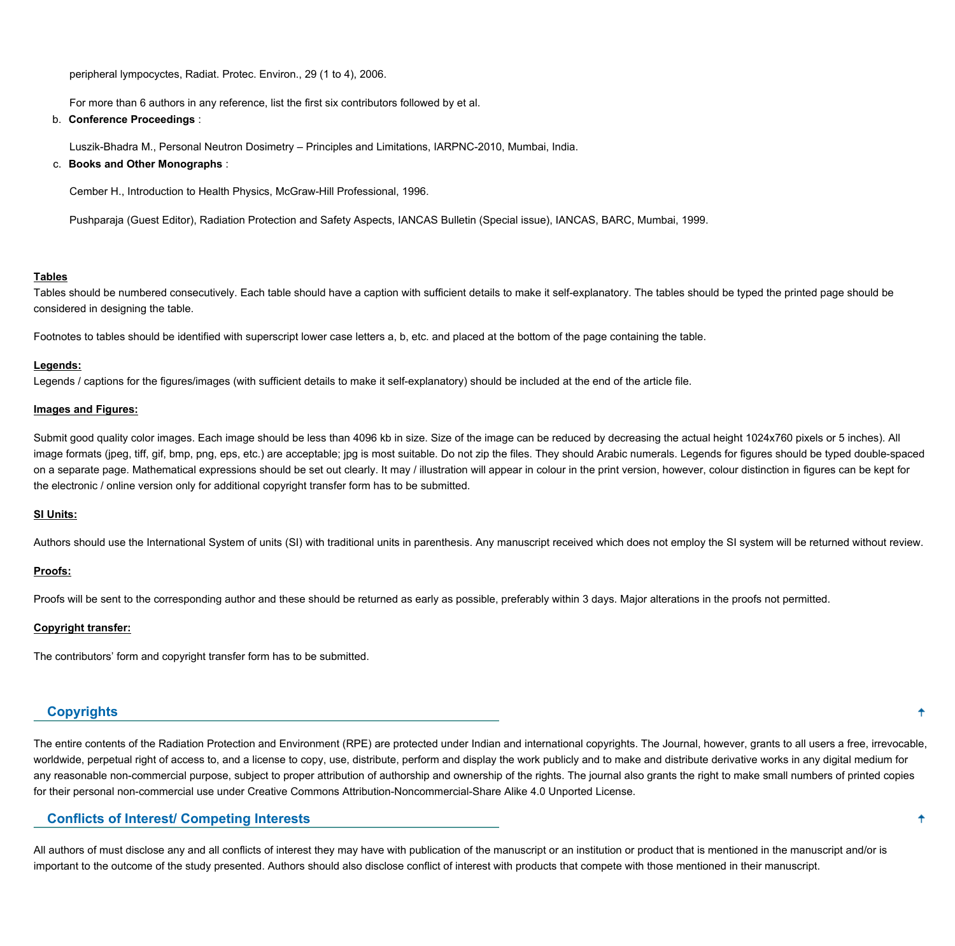**peripheral lympocyctes, Radiat. Protec. Environ., 29 (1 to 4), 2006.**

**For more than 6 authors in any reference, list the first six contributors followed by et al.**

**b. Conference Proceedings :**

**Luszik-Bhadra M., Personal Neutron Dosimetry – Principles and Limitations, IARPNC-2010, Mumbai, India.**

**c. Books and Other Monographs :**

**Cember H., Introduction to Health Physics, McGraw-Hill Professional, 1996.**

Pushparaja (Guest Editor), Radiation Protection and Safety Aspects, IANCAS Bulletin (Special issue), IANCAS, BARC, Mumbai, 1999.

## **Tables**

Tables should be numbered consecutively. Each table should have a caption with sufficient details to make it self-explanatory. The tables should be typed the printed page should be **considered in designing the table.**

Footnotes to tables should be identified with superscript lower case letters a, b, etc. and placed at the bottom of the page containing the table.

### **Legends:**

Legends / captions for the figures/images (with sufficient details to make it self-explanatory) should be included at the end of the article file.

### **Images and Figures:**

Submit good quality color images. Each image should be less than 4096 kb in size. Size of the image can be reduced by decreasing the actual height 1024x760 pixels or 5 inches). All image formats (jpeg, tiff, gif, bmp, png, eps, etc.) are acceptable; jpg is most suitable. Do not zip the files. They should Arabic numerals. Legends for figures should be typed double-spaced on a separate page. Mathematical expressions should be set out clearly. It may / illustration will appear in colour in the print version, however, colour distinction in figures can be kept for **the electronic / online version only for additional copyright transfer form has to be submitted.**

## **SI Units:**

Authors should use the International System of units (SI) with traditional units in parenthesis. Any manuscript received which does not employ the SI system will be returned without review.

## **Proofs:**

Proofs will be sent to the corresponding author and these should be returned as early as possible, preferably within 3 days. Major alterations in the proofs not permitted.

## **Copyright transfer:**

**The contributors' form and copyright transfer form has to be submitted.**

# <span id="page-4-0"></span>**Copyrights**

↑

 $\ddot{\phantom{1}}$ 

The entire contents of the Radiation Protection and Environment (RPE) are protected under Indian and international copyrights. The Journal, however, grants to all users a free, irrevocable, worldwide, perpetual right of access to, and a license to copy, use, distribute, perform and display the work publicly and to make and distribute derivative works in any digital medium for any reasonable non-commercial purpose, subject to proper attribution of authorship and ownership of the rights. The journal also grants the right to make small numbers of printed copies **for their personal non-commercial use under Creative Commons Attribution-Noncommercial-Share Alike 4.0 Unported License.**

# <span id="page-4-1"></span>**Conflicts of Interest/ Competing Interests**

All authors of must disclose any and all conflicts of interest they may have with publication of the manuscript or an institution or product that is mentioned in the manuscript and/or is important to the outcome of the study presented. Authors should also disclose conflict of interest with products that compete with those mentioned in their manuscript.